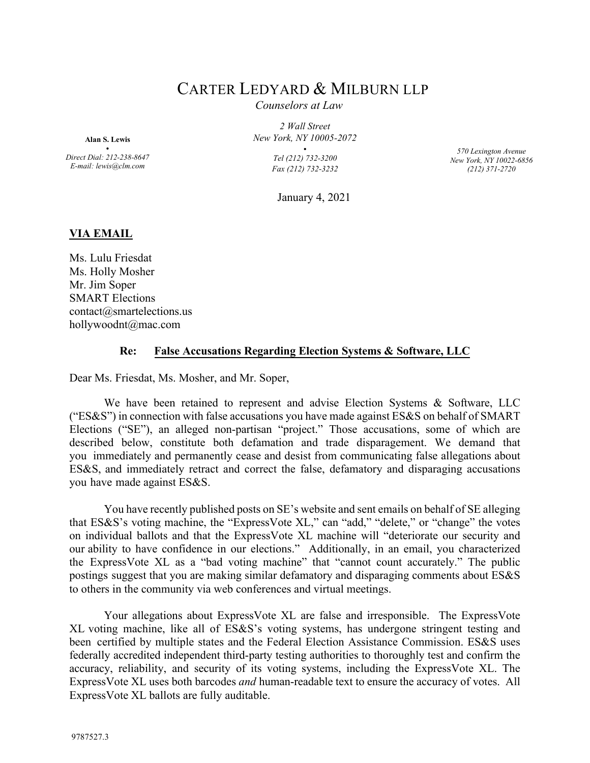## CARTER LEDYARD & MILBURN LLP

*Counselors at Law*

*2 Wall Street New York, NY 10005-2072*

> **•**  *Tel (212) 732-3200 Fax (212) 732-3232*

*570 Lexington Avenue New York, NY 10022-6856 (212) 371-2720*

January 4, 2021

## **VIA EMAIL**

**Alan S. Lewis •**  *Direct Dial: 212-238-8647 E-mail: lewis@clm.com*

Ms. Lulu Friesdat Ms. Holly Mosher Mr. Jim Soper SMART Elections contact@smartelections.us hollywoodnt@mac.com

## **Re: False Accusations Regarding Election Systems & Software, LLC**

Dear Ms. Friesdat, Ms. Mosher, and Mr. Soper,

We have been retained to represent and advise Election Systems & Software, LLC ("ES&S") in connection with false accusations you have made against ES&S on behalf of SMART Elections ("SE"), an alleged non-partisan "project." Those accusations, some of which are described below, constitute both defamation and trade disparagement. We demand that you immediately and permanently cease and desist from communicating false allegations about ES&S, and immediately retract and correct the false, defamatory and disparaging accusations you have made against ES&S.

You have recently published posts on SE's website and sent emails on behalf of SE alleging that ES&S's voting machine, the "ExpressVote XL," can "add," "delete," or "change" the votes on individual ballots and that the ExpressVote XL machine will "deteriorate our security and our ability to have confidence in our elections." Additionally, in an email, you characterized the ExpressVote XL as a "bad voting machine" that "cannot count accurately." The public postings suggest that you are making similar defamatory and disparaging comments about ES&S to others in the community via web conferences and virtual meetings.

Your allegations about ExpressVote XL are false and irresponsible. The ExpressVote XL voting machine, like all of ES&S's voting systems, has undergone stringent testing and been certified by multiple states and the Federal Election Assistance Commission. ES&S uses federally accredited independent third-party testing authorities to thoroughly test and confirm the accuracy, reliability, and security of its voting systems, including the ExpressVote XL. The ExpressVote XL uses both barcodes *and* human-readable text to ensure the accuracy of votes. All ExpressVote XL ballots are fully auditable.